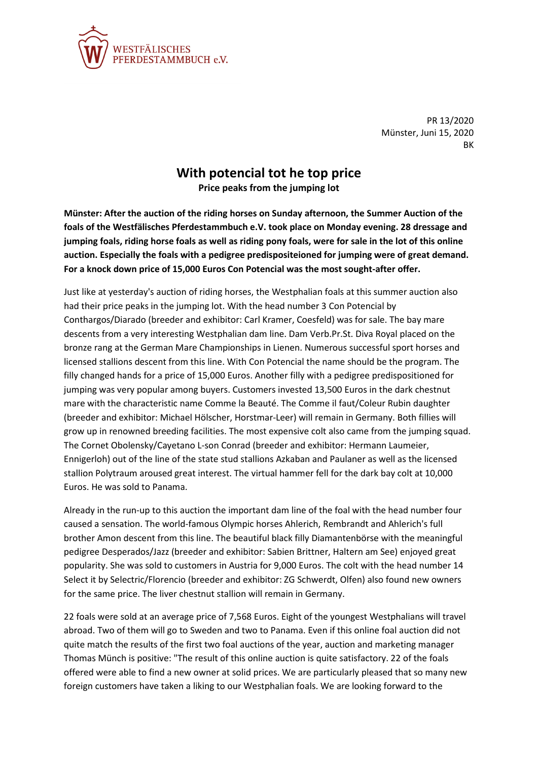

PR 13/2020 Münster, Juni 15, 2020 BK

## **With potencial tot he top price**

**Price peaks from the jumping lot**

**Münster: After the auction of the riding horses on Sunday afternoon, the Summer Auction of the foals of the Westfälisches Pferdestammbuch e.V. took place on Monday evening. 28 dressage and jumping foals, riding horse foals as well as riding pony foals, were for sale in the lot of this online auction. Especially the foals with a pedigree predispositeioned for jumping were of great demand. For a knock down price of 15,000 Euros Con Potencial was the most sought-after offer.** 

Just like at yesterday's auction of riding horses, the Westphalian foals at this summer auction also had their price peaks in the jumping lot. With the head number 3 Con Potencial by Conthargos/Diarado (breeder and exhibitor: Carl Kramer, Coesfeld) was for sale. The bay mare descents from a very interesting Westphalian dam line. Dam Verb.Pr.St. Diva Royal placed on the bronze rang at the German Mare Championships in Lienen. Numerous successful sport horses and licensed stallions descent from this line. With Con Potencial the name should be the program. The filly changed hands for a price of 15,000 Euros. Another filly with a pedigree predispositioned for jumping was very popular among buyers. Customers invested 13,500 Euros in the dark chestnut mare with the characteristic name Comme la Beauté. The Comme il faut/Coleur Rubin daughter (breeder and exhibitor: Michael Hölscher, Horstmar-Leer) will remain in Germany. Both fillies will grow up in renowned breeding facilities. The most expensive colt also came from the jumping squad. The Cornet Obolensky/Cayetano L-son Conrad (breeder and exhibitor: Hermann Laumeier, Ennigerloh) out of the line of the state stud stallions Azkaban and Paulaner as well as the licensed stallion Polytraum aroused great interest. The virtual hammer fell for the dark bay colt at 10,000 Euros. He was sold to Panama.

Already in the run-up to this auction the important dam line of the foal with the head number four caused a sensation. The world-famous Olympic horses Ahlerich, Rembrandt and Ahlerich's full brother Amon descent from this line. The beautiful black filly Diamantenbörse with the meaningful pedigree Desperados/Jazz (breeder and exhibitor: Sabien Brittner, Haltern am See) enjoyed great popularity. She was sold to customers in Austria for 9,000 Euros. The colt with the head number 14 Select it by Selectric/Florencio (breeder and exhibitor: ZG Schwerdt, Olfen) also found new owners for the same price. The liver chestnut stallion will remain in Germany.

22 foals were sold at an average price of 7,568 Euros. Eight of the youngest Westphalians will travel abroad. Two of them will go to Sweden and two to Panama. Even if this online foal auction did not quite match the results of the first two foal auctions of the year, auction and marketing manager Thomas Münch is positive: "The result of this online auction is quite satisfactory. 22 of the foals offered were able to find a new owner at solid prices. We are particularly pleased that so many new foreign customers have taken a liking to our Westphalian foals. We are looking forward to the